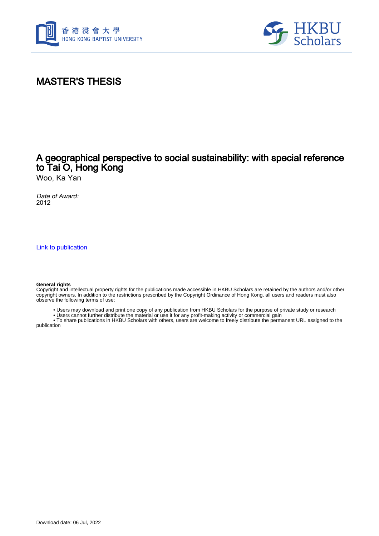



# MASTER'S THESIS

## A geographical perspective to social sustainability: with special reference to Tai O, Hong Kong

Woo, Ka Yan

Date of Award: 2012

[Link to publication](https://scholars.hkbu.edu.hk/en/studentTheses/112f3f26-518b-4ff2-a73e-01289d668aa0)

#### **General rights**

Copyright and intellectual property rights for the publications made accessible in HKBU Scholars are retained by the authors and/or other copyright owners. In addition to the restrictions prescribed by the Copyright Ordinance of Hong Kong, all users and readers must also observe the following terms of use:

- Users may download and print one copy of any publication from HKBU Scholars for the purpose of private study or research
- Users cannot further distribute the material or use it for any profit-making activity or commercial gain

 • To share publications in HKBU Scholars with others, users are welcome to freely distribute the permanent URL assigned to the publication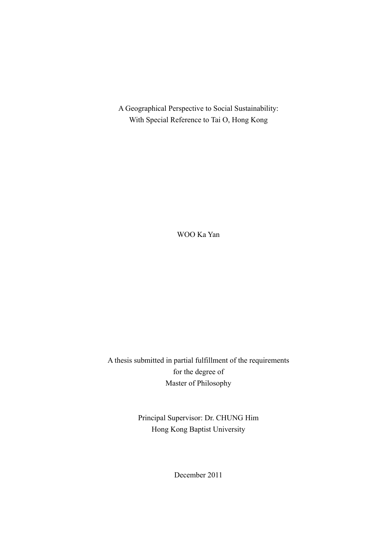A Geographical Perspective to Social Sustainability: With Special Reference to Tai O, Hong Kong

WOO Ka Yan

A thesis submitted in partial fulfillment of the requirements for the degree of Master of Philosophy

> Principal Supervisor: Dr. CHUNG Him Hong Kong Baptist University

> > December 2011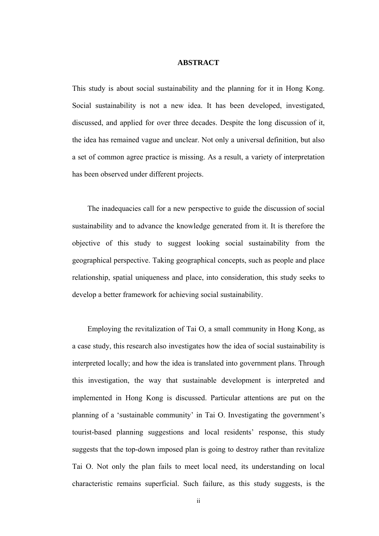#### **ABSTRACT**

This study is about social sustainability and the planning for it in Hong Kong. Social sustainability is not a new idea. It has been developed, investigated, discussed, and applied for over three decades. Despite the long discussion of it, the idea has remained vague and unclear. Not only a universal definition, but also a set of common agree practice is missing. As a result, a variety of interpretation has been observed under different projects.

The inadequacies call for a new perspective to guide the discussion of social sustainability and to advance the knowledge generated from it. It is therefore the objective of this study to suggest looking social sustainability from the geographical perspective. Taking geographical concepts, such as people and place relationship, spatial uniqueness and place, into consideration, this study seeks to develop a better framework for achieving social sustainability.

Employing the revitalization of Tai O, a small community in Hong Kong, as a case study, this research also investigates how the idea of social sustainability is interpreted locally; and how the idea is translated into government plans. Through this investigation, the way that sustainable development is interpreted and implemented in Hong Kong is discussed. Particular attentions are put on the planning of a 'sustainable community' in Tai O. Investigating the government's tourist-based planning suggestions and local residents' response, this study suggests that the top-down imposed plan is going to destroy rather than revitalize Tai O. Not only the plan fails to meet local need, its understanding on local characteristic remains superficial. Such failure, as this study suggests, is the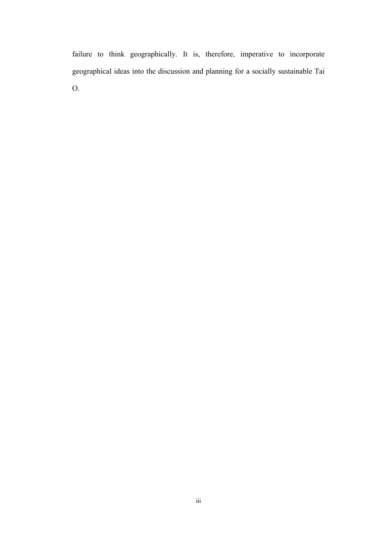failure to think geographically. It is, therefore, imperative to incorporate geographical ideas into the discussion and planning for a socially sustainable Tai O.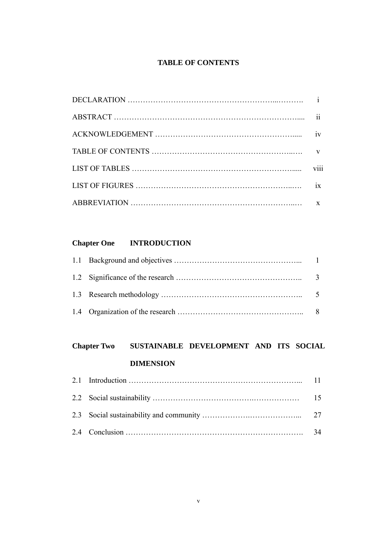### **TABLE OF CONTENTS**

| iv |
|----|
|    |
|    |
| ix |
|    |

## **Chapter One INTRODUCTION**

# **Chapter Two SUSTAINABLE DEVELOPMENT AND ITS SOCIAL DIMENSION**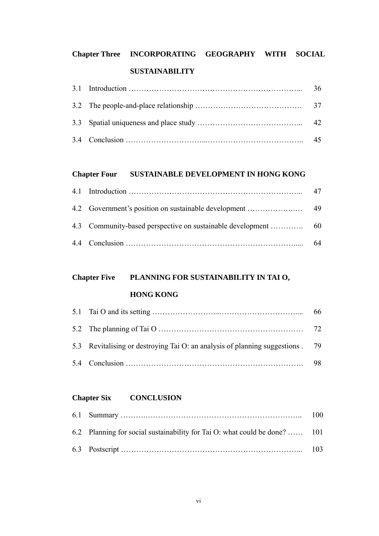# **Chapter Three INCORPORATING GEOGRAPHY WITH SOCIAL SUSTAINABILITY**

|  | 36 |
|--|----|
|  |    |
|  |    |
|  |    |

### **Chapter Four SUSTAINABLE DEVELOPMENT IN HONG KONG**

|  | 64 |
|--|----|

# **Chapter Five PLANNING FOR SUSTAINABILITY IN TAI O,**

### **HONG KONG**

| 5.3 Revitalising or destroying Tai O: an analysis of planning suggestions . 79 |  |
|--------------------------------------------------------------------------------|--|
|                                                                                |  |

### **Chapter Six CONCLUSION**

| 6.2 Planning for social sustainability for Tai O: what could be done?  101 |  |
|----------------------------------------------------------------------------|--|
|                                                                            |  |